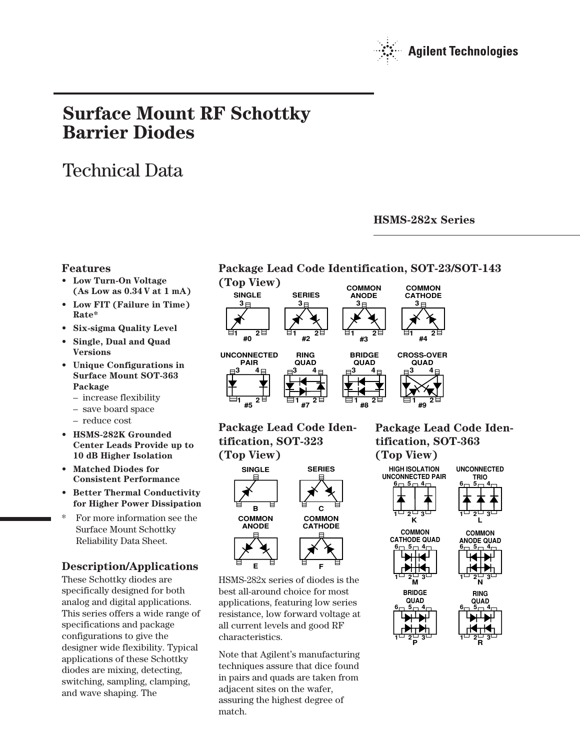

# **Surface Mount RF Schottky Barrier Diodes**

# Technical Data

# **HSMS-282x Series**

### **Features**

- **Low Turn-On Voltage (As Low as 0.34 V at 1 mA)**
- **Low FIT (Failure in Time) Rate\***
- **Six-sigma Quality Level**
- **Single, Dual and Quad Versions**
- **Unique Configurations in Surface Mount SOT-363 Package**
	- increase flexibility
	- save board space
	- reduce cost
- **HSMS-282K Grounded Center Leads Provide up to 10 dB Higher Isolation**
- **Matched Diodes for Consistent Performance**
- **Better Thermal Conductivity for Higher Power Dissipation**
- For more information see the Surface Mount Schottky Reliability Data Sheet.

# **Description/Applications**

These Schottky diodes are specifically designed for both analog and digital applications. This series offers a wide range of specifications and package configurations to give the designer wide flexibility. Typical applications of these Schottky diodes are mixing, detecting, switching, sampling, clamping, and wave shaping. The





## **Package Lead Code Identification, SOT-323 (Top View)**



HSMS-282x series of diodes is the best all-around choice for most applications, featuring low series resistance, low forward voltage at all current levels and good RF characteristics.

Note that Agilent's manufacturing techniques assure that dice found in pairs and quads are taken from adjacent sites on the wafer, assuring the highest degree of match.

# **Package Lead Code Identification, SOT-363 (Top View)**





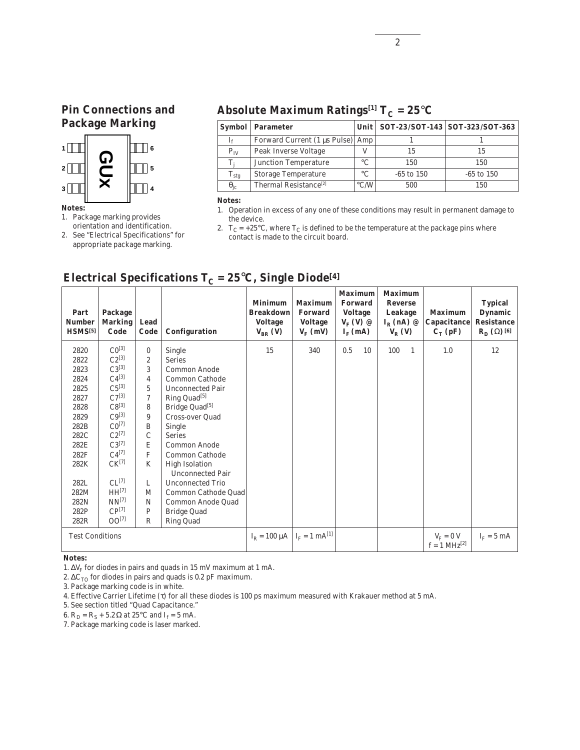# **Pin Connections and Package Marking**



### **Notes:**

1. Package marking provides orientation and identification.

2. See "Electrical Specifications" for appropriate package marking.

# **Absolute Maximum Ratings**<sup>[1]</sup>  $T_c = 25^\circ C$

|                   | <b>Symbol</b>   Parameter         |                    |              | Unit   SOT-23/SOT-143   SOT-323/SOT-363 |
|-------------------|-----------------------------------|--------------------|--------------|-----------------------------------------|
|                   | Forward Current (1 μs Pulse) Amp  |                    |              |                                         |
| $P_{IV}$          | Peak Inverse Voltage              |                    | 15           | 15                                      |
|                   | <b>Junction Temperature</b>       | $\circ$ C          | 150          | 150                                     |
| $\rm T_{\rm stg}$ | <b>Storage Temperature</b>        | $\circ$ C          | $-65$ to 150 | $-65$ to 150                            |
| $\theta_{\rm ic}$ | Thermal Resistance <sup>[2]</sup> | $\rm ^{\circ}$ C/W | 500          | 150                                     |

#### **Notes:**

2.  $T_C = +25^{\circ}C$ , where  $T_C$  is defined to be the temperature at the package pins where contact is made to the circuit board.

| Part<br><b>Number</b><br>HSMS <sup>[5]</sup> | Package<br><b>Marking</b><br>Code | Lead<br>Code   | Configuration              | <b>Minimum</b><br><b>Breakdown</b><br><b>Voltage</b><br>$V_{BR}$ (V) | <b>Maximum</b><br><b>Forward</b><br><b>Voltage</b><br>$V_{\rm F}$ (mV) | <b>Maximum</b><br><b>Forward</b><br><b>Voltage</b><br>$V_F(V)$ @<br>$I_{\rm E}$ (mA) | <b>Maximum</b><br><b>Reverse</b><br>Leakage<br>$I_R$ (nA) $\varnothing$<br>$V_R$ (V) | <b>Maximum</b><br><b>Capacitance</b><br>$C_T$ (pF) | <b>Typical</b><br><b>Dynamic</b><br><b>Resistance</b><br>$\mathbf{R}_{\mathrm{D}}\left(\Omega\right)$ [6] |
|----------------------------------------------|-----------------------------------|----------------|----------------------------|----------------------------------------------------------------------|------------------------------------------------------------------------|--------------------------------------------------------------------------------------|--------------------------------------------------------------------------------------|----------------------------------------------------|-----------------------------------------------------------------------------------------------------------|
| 2820                                         | $CO^{[3]}$                        | $\mathbf{0}$   | Single                     | 15                                                                   | 340                                                                    | 0.5<br>10                                                                            | 100<br>$\mathbf{1}$                                                                  | 1.0                                                | 12                                                                                                        |
| 2822                                         | $C2^{[3]}$                        | $\overline{c}$ | <b>Series</b>              |                                                                      |                                                                        |                                                                                      |                                                                                      |                                                    |                                                                                                           |
| 2823                                         | $C3^{[3]}$                        | 3              | <b>Common Anode</b>        |                                                                      |                                                                        |                                                                                      |                                                                                      |                                                    |                                                                                                           |
| 2824                                         | $C4^{[3]}$                        | $\overline{4}$ | Common Cathode             |                                                                      |                                                                        |                                                                                      |                                                                                      |                                                    |                                                                                                           |
| 2825                                         | $C5^{[3]}$                        | 5              | <b>Unconnected Pair</b>    |                                                                      |                                                                        |                                                                                      |                                                                                      |                                                    |                                                                                                           |
| 2827                                         | $C7^{[3]}$                        | $\tau$         | Ring Quad <sup>[5]</sup>   |                                                                      |                                                                        |                                                                                      |                                                                                      |                                                    |                                                                                                           |
| 2828                                         | $C8^{[3]}$                        | 8              | Bridge Quad <sup>[5]</sup> |                                                                      |                                                                        |                                                                                      |                                                                                      |                                                    |                                                                                                           |
| 2829                                         | $C9^{[3]}$                        | 9              | Cross-over Quad            |                                                                      |                                                                        |                                                                                      |                                                                                      |                                                    |                                                                                                           |
| 282B                                         | $CO^{[7]}$                        | B              | Single                     |                                                                      |                                                                        |                                                                                      |                                                                                      |                                                    |                                                                                                           |
| 282C                                         | $C2^{[7]}$                        | $\mathcal{C}$  | <b>Series</b>              |                                                                      |                                                                        |                                                                                      |                                                                                      |                                                    |                                                                                                           |
| 282E                                         | $C3^{[7]}$                        | E              | <b>Common Anode</b>        |                                                                      |                                                                        |                                                                                      |                                                                                      |                                                    |                                                                                                           |
| 282F                                         | $C4^{[7]}$                        | $\mathbf{F}$   | <b>Common Cathode</b>      |                                                                      |                                                                        |                                                                                      |                                                                                      |                                                    |                                                                                                           |
| 282K                                         | $CK^{[7]}$                        | K              | <b>High Isolation</b>      |                                                                      |                                                                        |                                                                                      |                                                                                      |                                                    |                                                                                                           |
|                                              |                                   |                | <b>Unconnected Pair</b>    |                                                                      |                                                                        |                                                                                      |                                                                                      |                                                    |                                                                                                           |
| 282L                                         | $CL^{[7]}$                        | L              | <b>Unconnected Trio</b>    |                                                                      |                                                                        |                                                                                      |                                                                                      |                                                    |                                                                                                           |
| 282M                                         | HH <sup>[7]</sup>                 | M              | Common Cathode Quad        |                                                                      |                                                                        |                                                                                      |                                                                                      |                                                    |                                                                                                           |
| 282N                                         | $NN^{[7]}$                        | N              | Common Anode Quad          |                                                                      |                                                                        |                                                                                      |                                                                                      |                                                    |                                                                                                           |
| 282P                                         | $CP^{[7]}$                        | $\mathbf{P}$   | <b>Bridge Quad</b>         |                                                                      |                                                                        |                                                                                      |                                                                                      |                                                    |                                                                                                           |
| 282R                                         | $00^{[7]}$                        | $\mathbb{R}$   | <b>Ring Quad</b>           |                                                                      |                                                                        |                                                                                      |                                                                                      |                                                    |                                                                                                           |
| <b>Test Conditions</b>                       |                                   |                |                            | $I_R = 100 \mu A$ $I_F = 1 mA^{[1]}$                                 |                                                                        |                                                                                      |                                                                                      | $V_F = 0 V$<br>f = 1 MHz <sup>[2]</sup>            | $I_F = 5$ mA                                                                                              |

# **Electrical Specifications T<sub>C</sub> = 25<sup>°</sup>C, Single Diode<sup>[4]</sup>**

**Notes:**

1.  $\Delta V_F$  for diodes in pairs and quads in 15 mV maximum at 1 mA.

2.  $\Delta C_{TO}$  for diodes in pairs and quads is 0.2 pF maximum.

3. Package marking code is in white.

4. Effective Carrier Lifetime (τ) for all these diodes is 100 ps maximum measured with Krakauer method at 5 mA.

5. See section titled "Quad Capacitance."

6.  $R_D = R_S + 5.2 \Omega$  at 25°C and I<sub>f</sub> = 5 mA.

7. Package marking code is laser marked.

<sup>1.</sup> Operation in excess of any one of these conditions may result in permanent damage to the device.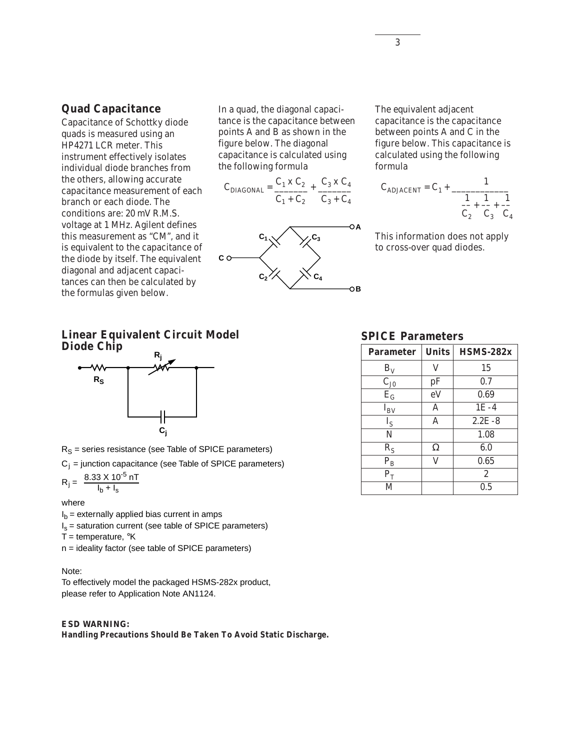### **Quad Capacitance**

Capacitance of Schottky diode quads is measured using an HP4271 LCR meter. This instrument effectively isolates individual diode branches from the others, allowing accurate capacitance measurement of each branch or each diode. The conditions are: 20 mV R.M.S. voltage at 1 MHz. Agilent defines this measurement as "CM", and it is equivalent to the capacitance of the diode by itself. The equivalent diagonal and adjacent capacitances can then be calculated by the formulas given below.

In a quad, the diagonal capacitance is the capacitance between points A and B as shown in the figure below. The diagonal capacitance is calculated using the following formula

$$
C_{\text{DIAGONAL}} = \frac{C_1 \times C_2}{C_1 + C_2} + \frac{C_3 \times C_4}{C_3 + C_4}
$$



The equivalent adjacent capacitance is the capacitance between points A and C in the figure below. This capacitance is calculated using the following formula

$$
C_{ADJACENT} = C_1 + \frac{1}{\frac{1}{C_2} + \frac{1}{C_3} + \frac{1}{C_4}}
$$

This information does not apply to cross-over quad diodes.

### **Linear Equivalent Circuit Model Diode Chip**



 $R_S$  = series resistance (see Table of SPICE parameters)

 $C_j$  = junction capacitance (see Table of SPICE parameters)

$$
R_{j} = \frac{8.33 \times 10^{-5} \text{ nT}}{I_{b} + I_{s}}
$$

#### where

 $I<sub>b</sub>$  = externally applied bias current in amps

 $I_s$  = saturation current (see table of SPICE parameters)

T = temperature,  $\mathrm{R}$ K

n = ideality factor (see table of SPICE parameters)

### Note:

To effectively model the packaged HSMS-282x product, please refer to Application Note AN1124.

### *ESD WARNING:*

**Handling Precautions Should Be Taken To Avoid Static Discharge.**

### **SPICE Parameters**

| <b>Parameter</b>        | <b>Units</b> | $HSMS-282x$    |
|-------------------------|--------------|----------------|
| $B_V$                   | V            | 15             |
| $C_{J0}$                | pF           | 0.7            |
| $E_G$                   | eV           | 0.69           |
| $I_{BV}$                | A            | $1E-4$         |
| $I_{S}$                 | A            | $2.2E - 8$     |
| N                       |              | 1.08           |
| $R_S$                   | Ω            | 6.0            |
| $\mathbf{P}_\mathrm{B}$ | V            | 0.65           |
| $P_T$                   |              | $\overline{2}$ |
| M                       |              | 0.5            |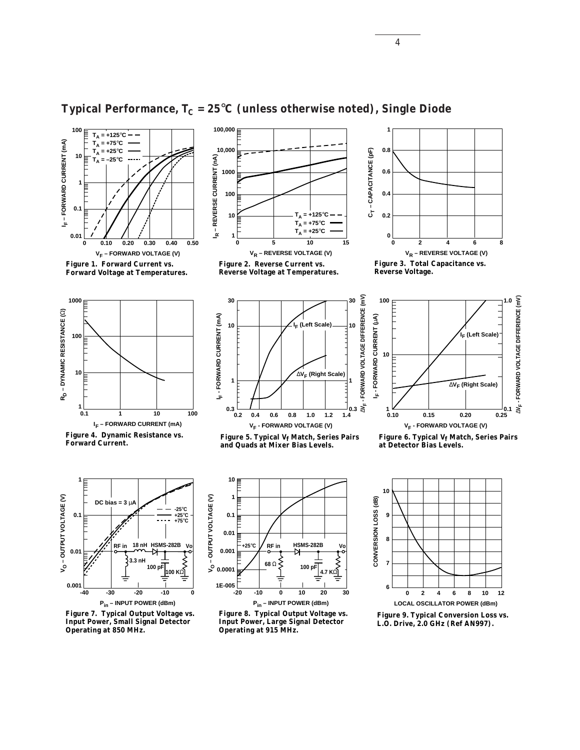

**Figure 1. Forward Current vs. Forward Voltage at Temperatures.**

# **Typical Performance,**  $T_c = 25^{\circ}C$  **(unless otherwise noted), Single Diode**

**100,000**











**Figure 4. Dynamic Resistance vs. Forward Current.**



Figure 5. Typical V<sub>f</sub> Match, Series Pairs **and Quads at Mixer Bias Levels.**



Figure 6. Typical V<sub>f</sub> Match, Series Pairs **at Detector Bias Levels.** 



**Figure 7. Typical Output Voltage vs. Input Power, Small Signal Detector Operating at 850 MHz.**



**Figure 8. Typical Output Voltage vs. Input Power, Large Signal Detector Operating at 915 MHz.**



**Figure 9. Typical Conversion Loss vs.**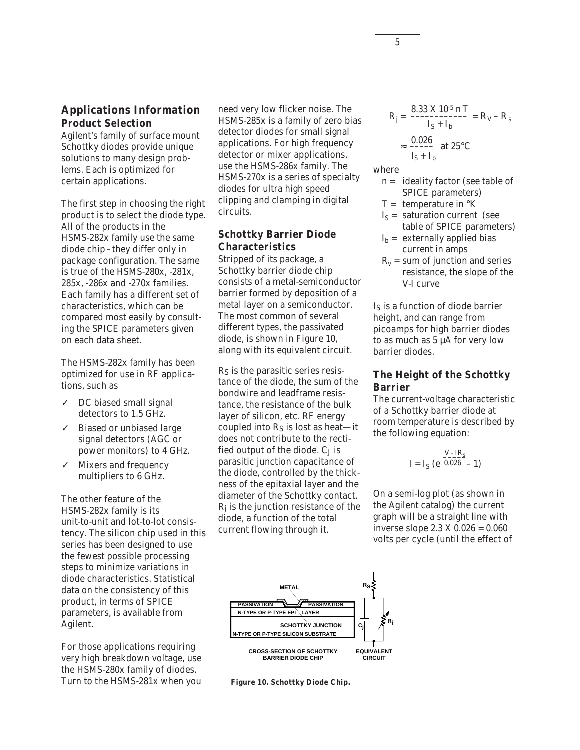### **Applications Information Product Selection**

Agilent's family of surface mount Schottky diodes provide unique solutions to many design problems. Each is optimized for certain applications.

The first step in choosing the right product is to select the diode type. All of the products in the HSMS-282x family use the same diode chip–they differ only in package configuration. The same is true of the HSMS-280x, -281x, 285x, -286x and -270x families. Each family has a different set of characteristics, which can be compared most easily by consulting the SPICE parameters given on each data sheet.

The HSMS-282x family has been optimized for use in RF applications, such as

- ✓ DC biased small signal detectors to 1.5 GHz.
- ✓ Biased or unbiased large signal detectors (AGC or power monitors) to 4 GHz.
- ✓ Mixers and frequency multipliers to 6 GHz.

The other feature of the HSMS-282x family is its unit-to-unit and lot-to-lot consistency. The silicon chip used in this series has been designed to use the fewest possible processing steps to minimize variations in diode characteristics. Statistical data on the consistency of this product, in terms of SPICE parameters, is available from Agilent.

For those applications requiring very high breakdown voltage, use the HSMS-280x family of diodes. Turn to the HSMS-281x when you need very low flicker noise. The HSMS-285x is a family of zero bias detector diodes for small signal applications. For high frequency detector or mixer applications, use the HSMS-286x family. The HSMS-270x is a series of specialty diodes for ultra high speed clipping and clamping in digital circuits.

### **Schottky Barrier Diode Characteristics**

Stripped of its package, a Schottky barrier diode chip consists of a metal-semiconductor barrier formed by deposition of a metal layer on a semiconductor. The most common of several different types, the passivated diode, is shown in Figure 10, along with its equivalent circuit.

RS is the parasitic series resistance of the diode, the sum of the bondwire and leadframe resistance, the resistance of the bulk layer of silicon, etc. RF energy coupled into RS is lost as heat—it does not contribute to the rectified output of the diode. C<sub>J</sub> is parasitic junction capacitance of the diode, controlled by the thickness of the epitaxial layer and the diameter of the Schottky contact.  $R_i$  is the junction resistance of the diode, a function of the total current flowing through it.

$$
R_{j} = \frac{8.33 \text{ X } 10^{-5} \text{ n T}}{I_{S} + I_{b}} = R_{V} - R_{s}
$$

$$
\approx \frac{0.026}{I_{S} + I_{b}} \text{ at } 25^{\circ} \text{C}
$$

where

- n = ideality factor (see table of SPICE parameters)
- $T =$  temperature in  $\mathrm{R}$
- $I_S$  = saturation current (see table of SPICE parameters)
- $I_b$  = externally applied bias current in amps
- $R_v$  = sum of junction and series resistance, the slope of the V-I curve

IS is a function of diode barrier height, and can range from picoamps for high barrier diodes to as much as 5 µA for very low barrier diodes.

### **The Height of the Schottky Barrier**

The current-voltage characteristic of a Schottky barrier diode at room temperature is described by the following equation:

$$
I = I_S (e^{\frac{V - IR_S}{0.026}} - 1)
$$

On a semi-log plot (as shown in the Agilent catalog) the current graph will be a straight line with inverse slope 2.3 X 0.026 = 0.060 volts per cycle (until the effect of



**Figure 10. Schottky Diode Chip.**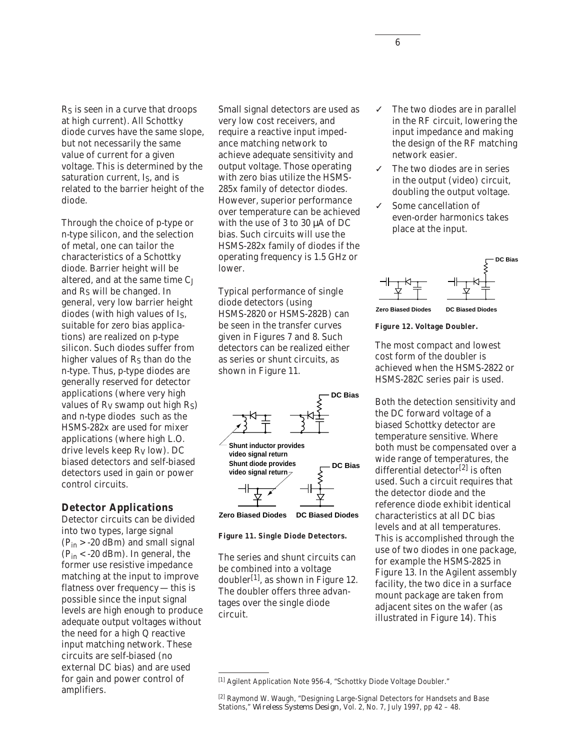RS is seen in a curve that droops at high current). All Schottky diode curves have the same slope, but not necessarily the same value of current for a given voltage. This is determined by the saturation current, I<sub>S</sub>, and is related to the barrier height of the diode.

Through the choice of p-type or n-type silicon, and the selection of metal, one can tailor the characteristics of a Schottky diode. Barrier height will be altered, and at the same time  $C_J$ and RS will be changed. In general, very low barrier height diodes (with high values of IS, suitable for zero bias applications) are realized on p-type silicon. Such diodes suffer from higher values of  $R<sub>S</sub>$  than do the n-type. Thus, p-type diodes are generally reserved for detector applications (where very high values of  $R_V$  swamp out high  $R_S$ ) and n-type diodes such as the HSMS-282x are used for mixer applications (where high L.O. drive levels keep RV low). DC biased detectors and self-biased detectors used in gain or power control circuits.

### **Detector Applications**

Detector circuits can be divided into two types, large signal  $(P_{in} > -20$  dBm) and small signal  $(P_{in} < -20$  dBm). In general, the former use resistive impedance matching at the input to improve flatness over frequency — this is possible since the input signal levels are high enough to produce adequate output voltages without the need for a high Q reactive input matching network. These circuits are self-biased (no external DC bias) and are used for gain and power control of amplifiers.

Small signal detectors are used as very low cost receivers, and require a reactive input impedance matching network to achieve adequate sensitivity and output voltage. Those operating with zero bias utilize the HSMS-285x family of detector diodes. However, superior performance over temperature can be achieved with the use of 3 to 30 µA of DC bias. Such circuits will use the HSMS-282x family of diodes if the operating frequency is 1.5 GHz or lower.

Typical performance of single diode detectors (using HSMS-2820 or HSMS-282B) can be seen in the transfer curves given in Figures 7 and 8. Such detectors can be realized either as series or shunt circuits, as shown in Figure 11.





#### **Figure 11. Single Diode Detectors.**

The series and shunt circuits can be combined into a voltage doubler<sup>[1]</sup>, as shown in Figure 12. The doubler offers three advantages over the single diode circuit.

- The two diodes are in parallel in the RF circuit, lowering the input impedance and making the design of the RF matching network easier.
- ✓ The two diodes are in series in the output (video) circuit, doubling the output voltage.
- ✓ Some cancellation of even-order harmonics takes place at the input.



**Zero Biased Diodes DC Biased Diodes**

**Figure 12. Voltage Doubler.**

The most compact and lowest cost form of the doubler is achieved when the HSMS-2822 or HSMS-282C series pair is used.

Both the detection sensitivity and the DC forward voltage of a biased Schottky detector are temperature sensitive. Where both must be compensated over a wide range of temperatures, the differential detector<sup>[2]</sup> is often used. Such a circuit requires that the detector diode and the reference diode exhibit identical characteristics at all DC bias levels and at all temperatures. This is accomplished through the use of two diodes in one package, for example the HSMS-2825 in Figure 13. In the Agilent assembly facility, the two dice in a surface mount package are taken from adjacent sites on the wafer (as illustrated in Figure 14). This

<sup>[1]</sup> Agilent Application Note 956-4, "Schottky Diode Voltage Doubler."

<sup>[2]</sup> Raymond W. Waugh, "Designing Large-Signal Detectors for Handsets and Base Stations," *Wireless Systems Design,* Vol. 2, No. 7, July 1997, pp 42 – 48.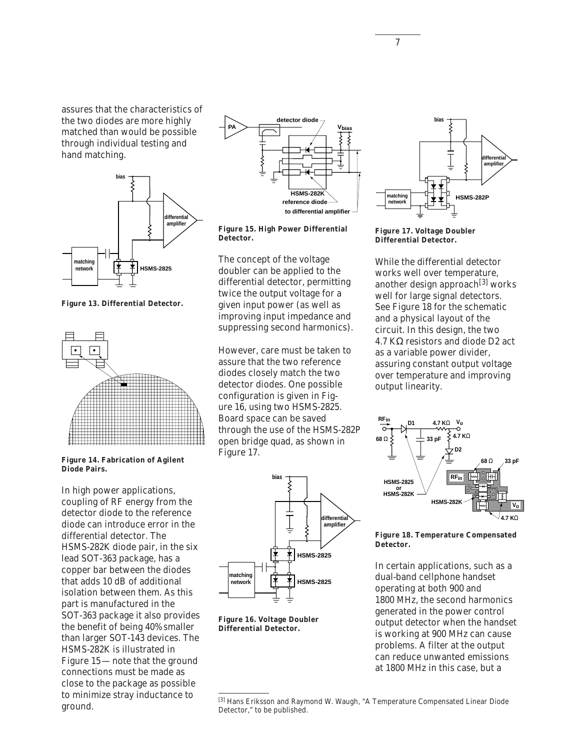assures that the characteristics of the two diodes are more highly matched than would be possible through individual testing and hand matching.



**Figure 13. Differential Detector.**



**Figure 14. Fabrication of Agilent Diode Pairs.**

In high power applications, coupling of RF energy from the detector diode to the reference diode can introduce error in the differential detector. The HSMS-282K diode pair, in the six lead SOT-363 package, has a copper bar between the diodes that adds 10 dB of additional isolation between them. As this part is manufactured in the SOT-363 package it also provides the benefit of being 40% smaller than larger SOT-143 devices. The HSMS-282K is illustrated in Figure 15—note that the ground connections must be made as close to the package as possible to minimize stray inductance to ground.



**Figure 15. High Power Differential Detector.**

The concept of the voltage doubler can be applied to the differential detector, permitting twice the output voltage for a given input power (as well as improving input impedance and suppressing second harmonics).

However, care must be taken to assure that the two reference diodes closely match the two detector diodes. One possible configuration is given in Figure 16, using two HSMS-2825. Board space can be saved through the use of the HSMS-282P open bridge quad, as shown in Figure 17.



**Figure 16. Voltage Doubler Differential Detector.**



**Figure 17. Voltage Doubler Differential Detector.**

While the differential detector works well over temperature, another design approach<sup>[3]</sup> works well for large signal detectors. See Figure 18 for the schematic and a physical layout of the circuit. In this design, the two 4.7 KΩ resistors and diode D2 act as a variable power divider, assuring constant output voltage over temperature and improving output linearity.



**Figure 18. Temperature Compensated Detector.**

In certain applications, such as a dual-band cellphone handset operating at both 900 and 1800 MHz, the second harmonics generated in the power control output detector when the handset is working at 900 MHz can cause problems. A filter at the output can reduce unwanted emissions at 1800 MHz in this case, but a

<sup>[3]</sup> Hans Eriksson and Raymond W. Waugh, "A Temperature Compensated Linear Diode Detector," to be published.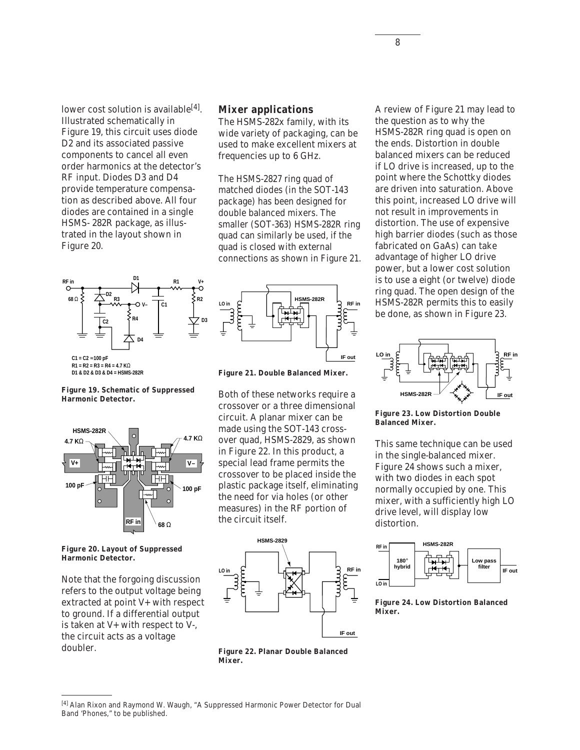lower cost solution is available<sup>[4]</sup>. Illustrated schematically in Figure 19, this circuit uses diode D2 and its associated passive components to cancel all even order harmonics at the detector's RF input. Diodes D3 and D4 provide temperature compensation as described above. All four diodes are contained in a single HSMS- 282R package, as illustrated in the layout shown in Figure 20.



### **Mixer applications**

The HSMS-282x family, with its wide variety of packaging, can be used to make excellent mixers at frequencies up to 6 GHz.

The HSMS-2827 ring quad of matched diodes (in the SOT-143 package) has been designed for double balanced mixers. The smaller (SOT-363) HSMS-282R ring quad can similarly be used, if the quad is closed with external connections as shown in Figure 21.



**Figure 21. Double Balanced Mixer.**

Both of these networks require a crossover or a three dimensional circuit. A planar mixer can be made using the SOT-143 crossover quad, HSMS-2829, as shown in Figure 22. In this product, a special lead frame permits the crossover to be placed inside the plastic package itself, eliminating the need for via holes (or other measures) in the RF portion of the circuit itself.







**Figure 23. Low Distortion Double Balanced Mixer.**

This same technique can be used in the single-balanced mixer. Figure 24 shows such a mixer, with two diodes in each spot normally occupied by one. This mixer, with a sufficiently high LO drive level, will display low distortion.



**Figure 24. Low Distortion Balanced Mixer.**

**Figure 19. Schematic of Suppressed Harmonic Detector.**



**Figure 20. Layout of Suppressed Harmonic Detector.**

Note that the forgoing discussion refers to the output voltage being extracted at point V+ with respect to ground. If a differential output is taken at V+ with respect to V-, the circuit acts as a voltage doubler.



**Figure 22. Planar Double Balanced**

[4] Alan Rixon and Raymond W. Waugh, "A Suppressed Harmonic Power Detector for Dual Band 'Phones," to be published.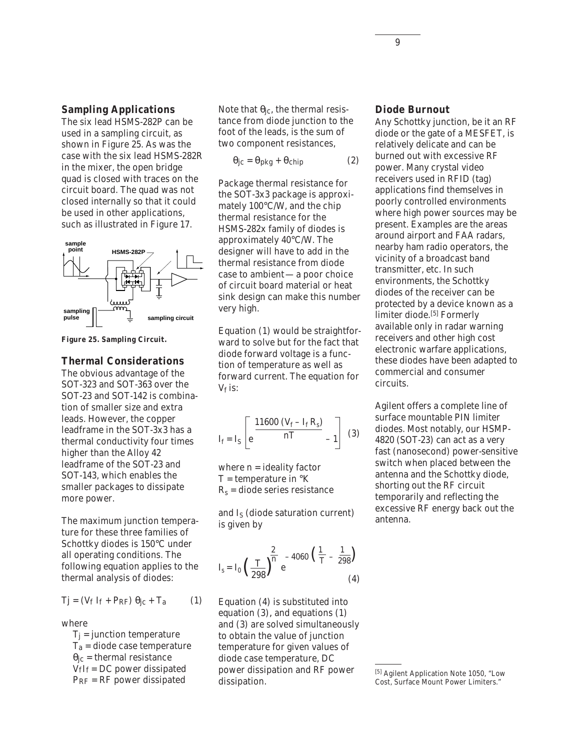### **Sampling Applications**

The six lead HSMS-282P can be used in a sampling circuit, as shown in Figure 25. As was the case with the six lead HSMS-282R in the mixer, the open bridge quad is closed with traces on the circuit board. The quad was not closed internally so that it could be used in other applications, such as illustrated in Figure 17.



**Figure 25. Sampling Circuit.**

### **Thermal Considerations**

The obvious advantage of the SOT-323 and SOT-363 over the SOT-23 and SOT-142 is combination of smaller size and extra leads. However, the copper leadframe in the SOT-3x3 has a thermal conductivity four times higher than the Alloy 42 leadframe of the SOT-23 and SOT-143, which enables the smaller packages to dissipate more power.

The maximum junction temperature for these three families of Schottky diodes is 150°C under all operating conditions. The following equation applies to the thermal analysis of diodes:

$$
Tj = (V_f I_f + P_{RF}) \theta_{jc} + T_a \qquad (1)
$$

where

 $T_j$  = junction temperature  $T_a$  = diode case temperature  $\theta_{\rm jc}$  = thermal resistance  $V_fI_f = DC$  power dissipated PRF = RF power dissipated

Note that  $\theta_{\text{ic}}$ , the thermal resistance from diode junction to the foot of the leads, is the sum of two component resistances,

 $\theta$ jc =  $\theta$ pkg +  $\theta$ chip (2)

Package thermal resistance for the SOT-3x3 package is approximately 100°C/W, and the chip thermal resistance for the HSMS-282x family of diodes is approximately 40°C/W. The designer will have to add in the thermal resistance from diode case to ambient—a poor choice of circuit board material or heat sink design can make this number very high.

Equation (1) would be straightforward to solve but for the fact that diode forward voltage is a function of temperature as well as forward current. The equation for  $V_f$  is:

$$
I_{f} = I_{S} \left[ e^{\frac{11600 (V_{f} - I_{f} R_{s})}{nT}} - 1 \right] (3)
$$

where  $n =$  ideality factor  $T =$  temperature in  $\mathrm{R}$  $R_s$  = diode series resistance

and  $I_S$  (diode saturation current) is given by

$$
I_s = I_0 \left(\frac{T}{298}\right)^{\frac{2}{n}} e^{-4060 \left(\frac{1}{T} - \frac{1}{298}\right)}
$$
(4)

Equation (4) is substituted into equation (3)*,* and equations (1) and (3) are solved simultaneously to obtain the value of junction temperature for given values of diode case temperature, DC power dissipation and RF power dissipation.

#### **Diode Burnout**

Any Schottky junction, be it an RF diode or the gate of a MESFET, is relatively delicate and can be burned out with excessive RF power. Many crystal video receivers used in RFID (tag) applications find themselves in poorly controlled environments where high power sources may be present. Examples are the areas around airport and FAA radars, nearby ham radio operators, the vicinity of a broadcast band transmitter, etc. In such environments, the Schottky diodes of the receiver can be protected by a device known as a limiter diode.<sup>[5]</sup> Formerly available only in radar warning receivers and other high cost electronic warfare applications, these diodes have been adapted to commercial and consumer circuits.

Agilent offers a complete line of surface mountable PIN limiter diodes. Most notably, our HSMP-4820 (SOT-23) can act as a very fast (nanosecond) power-sensitive switch when placed between the antenna and the Schottky diode, shorting out the RF circuit temporarily and reflecting the excessive RF energy back out the antenna.

<sup>[5]</sup> Agilent Application Note 1050, "Low Cost, Surface Mount Power Limiters."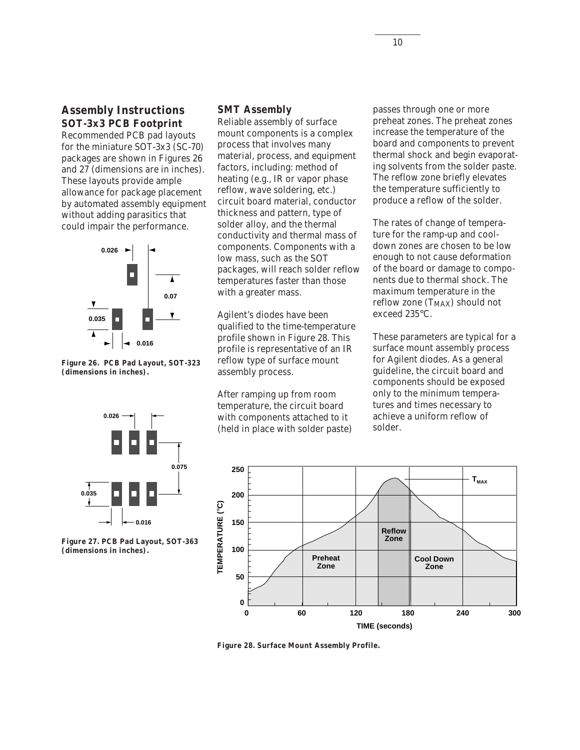## **Assembly Instructions SOT-3x3 PCB Footprint**

Recommended PCB pad layouts for the miniature SOT-3x3 (SC-70) packages are shown in Figures 26 and 27 (dimensions are in inches). These layouts provide ample allowance for package placement by automated assembly equipment without adding parasitics that could impair the performance.



**Figure 26. PCB Pad Layout, SOT-323 (dimensions in inches).**

### **SMT Assembly**

Reliable assembly of surface mount components is a complex process that involves many material, process, and equipment factors, including: method of heating (e.g., IR or vapor phase reflow, wave soldering, etc.) circuit board material, conductor thickness and pattern, type of solder alloy, and the thermal conductivity and thermal mass of components. Components with a low mass, such as the SOT packages, will reach solder reflow temperatures faster than those with a greater mass.

Agilent's diodes have been qualified to the time-temperature profile shown in Figure 28. This profile is representative of an IR reflow type of surface mount assembly process.

After ramping up from room temperature, the circuit board with components attached to it (held in place with solder paste) passes through one or more preheat zones. The preheat zones increase the temperature of the board and components to prevent thermal shock and begin evaporating solvents from the solder paste. The reflow zone briefly elevates the temperature sufficiently to produce a reflow of the solder.

The rates of change of temperature for the ramp-up and cooldown zones are chosen to be low enough to not cause deformation of the board or damage to components due to thermal shock. The maximum temperature in the reflow zone  $(T_{MAX})$  should not exceed 235°C.

These parameters are typical for a surface mount assembly process for Agilent diodes. As a general guideline, the circuit board and components should be exposed only to the minimum temperatures and times necessary to achieve a uniform reflow of solder.



**Figure 27. PCB Pad Layout, SOT-363 (dimensions in inches).**



**Figure 28. Surface Mount Assembly Profile.**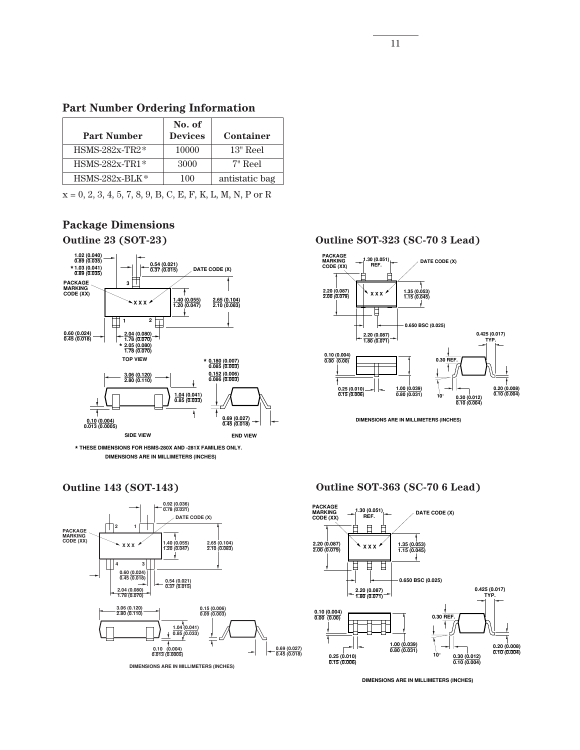|  |  | <b>Part Number Ordering Information</b> |
|--|--|-----------------------------------------|
|--|--|-----------------------------------------|

| <b>Part Number</b> | No. of<br><b>Devices</b> | Container      |
|--------------------|--------------------------|----------------|
| $HSMS-282x-TR2*$   | 10000                    | $13"$ Reel     |
| $HSMS-282x-TR1*$   | 3000                     | $7"$ Reel      |
| $HSMS-282x-BLK*$   | 100                      | antistatic bag |

 $x = 0, 2, 3, 4, 5, 7, 8, 9, B, C, E, F, K, L, M, N, P$  or R

# **Package Dimensions Outline 23 (SOT-23)**



**THESE DIMENSIONS FOR HSMS-280X AND -281X FAMILIES ONLY. \* DIMENSIONS ARE IN MILLIMETERS (INCHES)**





**DIMENSIONS ARE IN MILLIMETERS (INCHES)**

**Outline SOT-323 (SC-70 3 Lead)**



**DIMENSIONS ARE IN MILLIMETERS (INCHES)**

### **Outline SOT-363 (SC-70 6 Lead)**



**DIMENSIONS ARE IN MILLIMETERS (INCHES)**

11